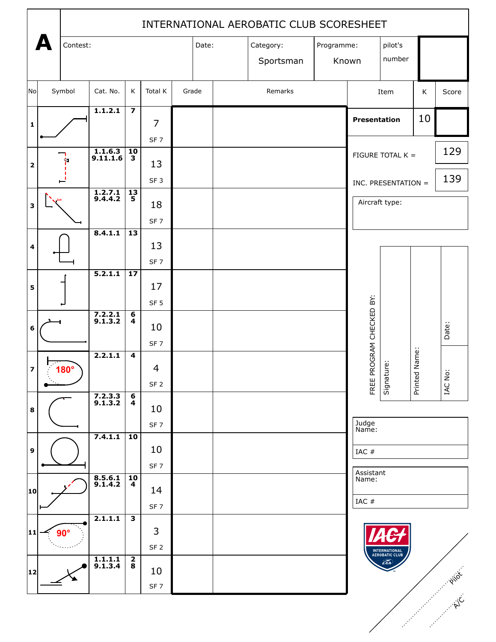|                         |  | INTERNATIONAL AEROBATIC CLUB SCORESHEET |                                  |                                                    |                 |       |       |  |                         |  |         |                     |                                 |               |         |
|-------------------------|--|-----------------------------------------|----------------------------------|----------------------------------------------------|-----------------|-------|-------|--|-------------------------|--|---------|---------------------|---------------------------------|---------------|---------|
|                         |  | Contest:                                |                                  |                                                    |                 |       | Date: |  | Category:<br>Programme: |  | pilot's |                     |                                 |               |         |
|                         |  |                                         |                                  |                                                    |                 |       |       |  | Sportsman               |  |         | Known               | number                          |               |         |
|                         |  |                                         |                                  |                                                    |                 |       |       |  |                         |  |         |                     |                                 |               |         |
| No                      |  | Symbol<br>Cat. No.                      |                                  | K                                                  | Total K         | Grade |       |  | Remarks                 |  | Item    |                     | K                               | Score         |         |
|                         |  |                                         | 1.1.2.1                          | $\overline{\mathbf{z}}$                            | $\overline{7}$  |       |       |  |                         |  |         | <b>Presentation</b> |                                 | 10            |         |
| $\mathbf{1}$            |  |                                         |                                  |                                                    | SF <sub>7</sub> |       |       |  |                         |  |         |                     |                                 |               |         |
|                         |  | Þ                                       | $\overline{1.1.6.3}$<br>9.11.1.6 | 10<br>$\overline{\mathbf{3}}$                      |                 |       |       |  |                         |  |         |                     | FIGURE TOTAL K =                |               | 129     |
| $\mathbf 2$             |  |                                         |                                  |                                                    | 13              |       |       |  |                         |  |         |                     |                                 |               |         |
|                         |  |                                         |                                  |                                                    | SF <sub>3</sub> |       |       |  |                         |  |         | INC. PRESENTATION = |                                 |               | 139     |
| 3                       |  |                                         | $\overline{1.2.7.1}$<br>9.4.4.2  | $\frac{13}{5}$                                     | 18              |       |       |  |                         |  |         |                     | Aircraft type:                  |               |         |
|                         |  |                                         | 8.4.1.1                          | 13                                                 | SF <sub>7</sub> |       |       |  |                         |  |         |                     |                                 |               |         |
| 4                       |  |                                         |                                  |                                                    | 13              |       |       |  |                         |  |         |                     |                                 |               |         |
|                         |  |                                         |                                  |                                                    | SF <sub>7</sub> |       |       |  |                         |  |         |                     |                                 |               |         |
| 5                       |  |                                         | 5.2.1.1                          | $\overline{17}$                                    | 17              |       |       |  |                         |  |         |                     |                                 |               |         |
|                         |  |                                         |                                  |                                                    | SF <sub>5</sub> |       |       |  |                         |  |         |                     |                                 |               |         |
| 6                       |  |                                         | $7.2.2.1$<br>9.1.3.2             | $\overline{\mathbf{6}}$<br>$\overline{\mathbf{4}}$ | 10              |       |       |  |                         |  |         | ROGRAM CHECKED BY:  |                                 |               | Date:   |
|                         |  |                                         |                                  |                                                    | SF <sub>7</sub> |       |       |  |                         |  |         |                     |                                 |               |         |
| $\overline{\mathbf{z}}$ |  | $180^\circ$                             | 2.2.1.1                          | $\overline{\mathbf{4}}$                            | $\overline{4}$  |       |       |  |                         |  |         |                     |                                 | Printed Name: |         |
|                         |  |                                         |                                  |                                                    | SF <sub>2</sub> |       |       |  |                         |  |         | FREE P              | Signature:                      |               | IAC No: |
| $\bf8$                  |  |                                         | $7.2.3.3$<br>9.1.3.2             | 6<br>$\overline{\mathbf{4}}$                       | 10              |       |       |  |                         |  |         |                     |                                 |               |         |
|                         |  |                                         |                                  |                                                    | SF <sub>7</sub> |       |       |  |                         |  |         | Judge<br>Name:      |                                 |               |         |
| 9                       |  | 7.4.1.1                                 |                                  | $\overline{10}$                                    | 10              |       |       |  |                         |  |         | IAC #               |                                 |               |         |
|                         |  |                                         |                                  |                                                    | SF <sub>7</sub> |       |       |  |                         |  |         | Assistant           |                                 |               |         |
| 10                      |  |                                         | $8.5.6.1$<br>9.1.4.2             | 10<br>$\overline{\mathbf{4}}$                      | 14              |       |       |  |                         |  |         | Name:               |                                 |               |         |
|                         |  |                                         |                                  |                                                    | SF <sub>7</sub> |       |       |  |                         |  |         | IAC #               |                                 |               |         |
| 11                      |  | $90^\circ$                              | 2.1.1.1                          | $\overline{\mathbf{3}}$                            | 3               |       |       |  |                         |  |         |                     |                                 |               |         |
|                         |  |                                         |                                  |                                                    | SF <sub>2</sub> |       |       |  |                         |  |         |                     | INTERNATIONAL<br>AEROBATIC CLUB |               |         |
| 12                      |  |                                         | $\overline{1.1.1.1}$<br>9.1.3.4  | $\overline{\mathbf{2}}$                            | 10              |       |       |  |                         |  |         |                     | $\widehat{\text{EAD}}$          |               | PIIOT   |
|                         |  |                                         |                                  |                                                    | SF <sub>7</sub> |       |       |  |                         |  |         |                     |                                 |               |         |
|                         |  |                                         |                                  |                                                    |                 |       |       |  |                         |  |         |                     |                                 |               |         |
|                         |  |                                         |                                  |                                                    |                 |       |       |  |                         |  |         |                     |                                 |               |         |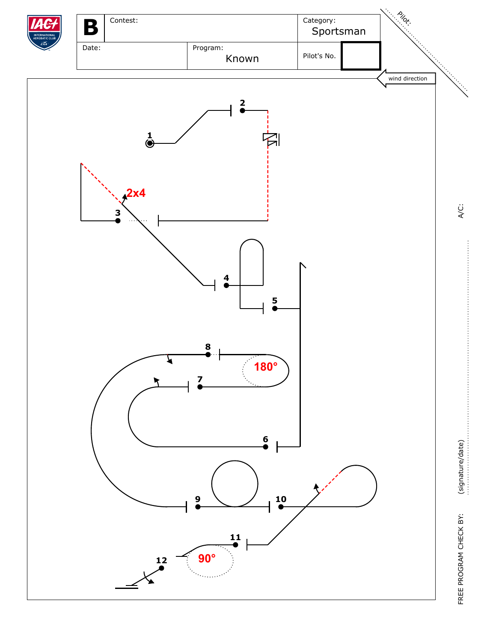